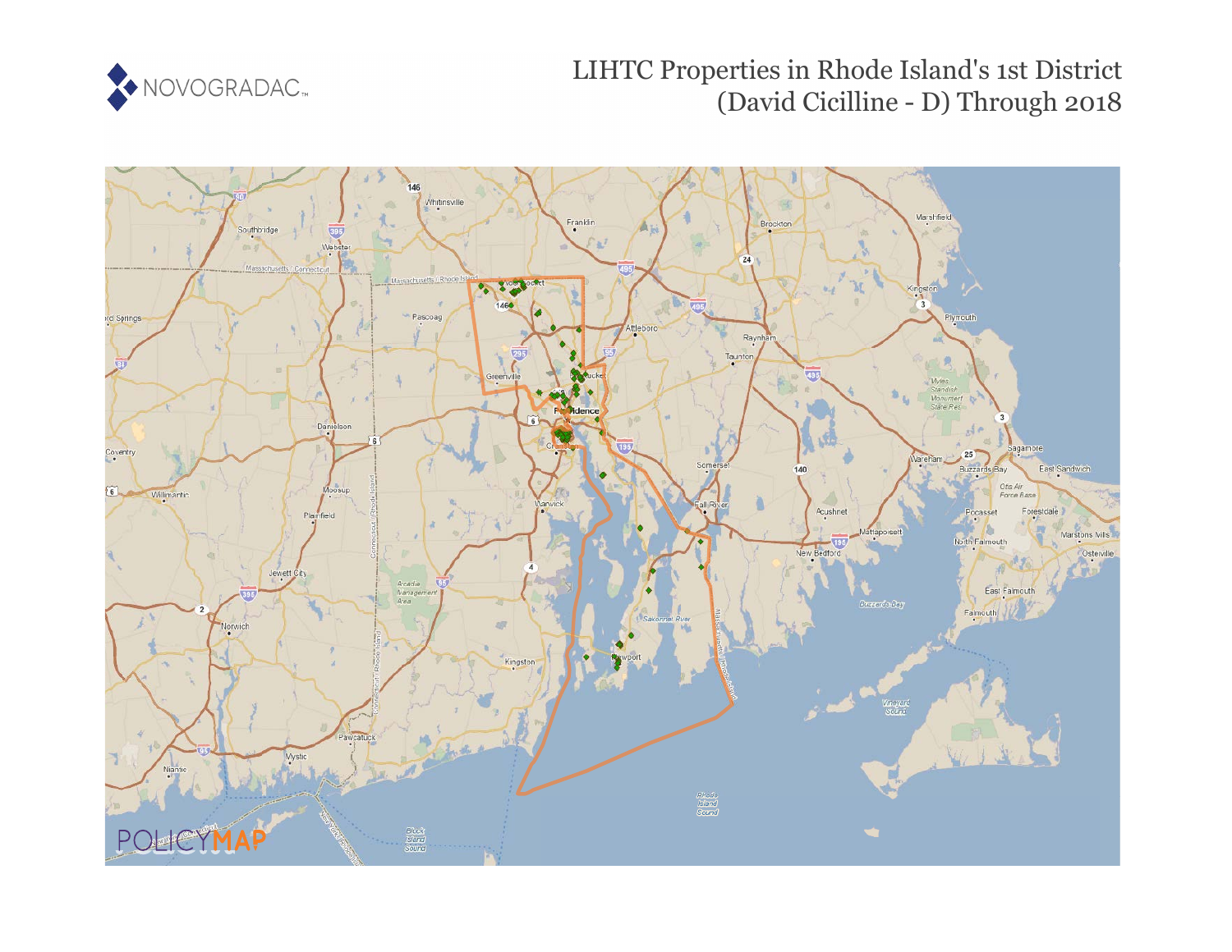

# LIHTC Properties in Rhode Island's 1st District (David Cicilline - D) Through 2018

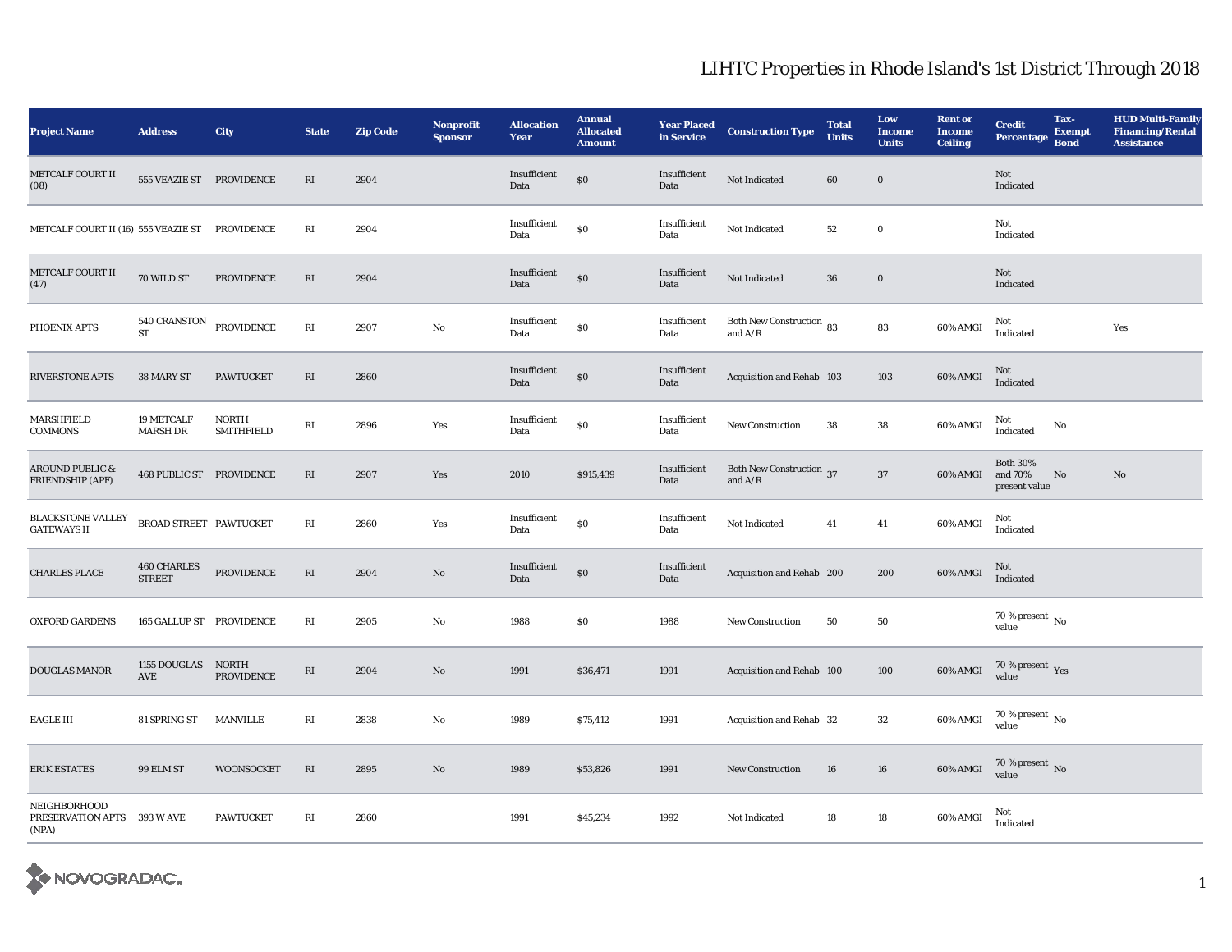| <b>Project Name</b>                                  | <b>Address</b>                  | City                              | <b>State</b>           | Zip Code | Nonprofit<br><b>Sponsor</b> | <b>Allocation</b><br>Year | <b>Annual</b><br><b>Allocated</b><br><b>Amount</b> | <b>Year Placed</b><br>in Service | <b>Construction Type</b>                                | <b>Total</b><br><b>Units</b> | Low<br><b>Income</b><br><b>Units</b> | <b>Rent or</b><br><b>Income</b><br><b>Ceiling</b> | <b>Credit</b><br><b>Percentage</b>          | Tax-<br><b>Exempt</b><br><b>Bond</b> | <b>HUD Multi-Family</b><br><b>Financing/Rental</b><br><b>Assistance</b> |
|------------------------------------------------------|---------------------------------|-----------------------------------|------------------------|----------|-----------------------------|---------------------------|----------------------------------------------------|----------------------------------|---------------------------------------------------------|------------------------------|--------------------------------------|---------------------------------------------------|---------------------------------------------|--------------------------------------|-------------------------------------------------------------------------|
| <b>METCALF COURT II</b><br>(08)                      | 555 VEAZIE ST PROVIDENCE        |                                   | $\mathbf{R}\mathbf{I}$ | 2904     |                             | Insufficient<br>Data      | $\$0$                                              | Insufficient<br>Data             | Not Indicated                                           | 60                           | $\boldsymbol{0}$                     |                                                   | Not<br>Indicated                            |                                      |                                                                         |
| METCALF COURT II (16) 555 VEAZIE ST PROVIDENCE       |                                 |                                   | RI                     | 2904     |                             | Insufficient<br>Data      | $\$0$                                              | Insufficient<br>Data             | Not Indicated                                           | 52                           | $\bf{0}$                             |                                                   | Not<br>Indicated                            |                                      |                                                                         |
| <b>METCALF COURT II</b><br>(47)                      | 70 WILD ST                      | <b>PROVIDENCE</b>                 | RI                     | 2904     |                             | Insufficient<br>Data      | \$0                                                | Insufficient<br>Data             | Not Indicated                                           | ${\bf 36}$                   | $\mathbf 0$                          |                                                   | Not<br>Indicated                            |                                      |                                                                         |
| PHOENIX APTS                                         | 540 CRANSTON<br><b>ST</b>       | PROVIDENCE                        | RI                     | 2907     | $\mathbf{No}$               | Insufficient<br>Data      | $\$0$                                              | Insufficient<br>Data             | Both New Construction 83<br>and $\mathrm{A}/\mathrm{R}$ |                              | 83                                   | 60% AMGI                                          | Not<br>Indicated                            |                                      | Yes                                                                     |
| <b>RIVERSTONE APTS</b>                               | 38 MARY ST                      | <b>PAWTUCKET</b>                  | $\mathbf{R}\mathbf{I}$ | 2860     |                             | Insufficient<br>Data      | $\boldsymbol{\mathsf{S}}\boldsymbol{\mathsf{O}}$   | Insufficient<br>Data             | Acquisition and Rehab 103                               |                              | 103                                  | 60% AMGI                                          | Not<br>Indicated                            |                                      |                                                                         |
| <b>MARSHFIELD</b><br><b>COMMONS</b>                  | 19 METCALF<br><b>MARSH DR</b>   | <b>NORTH</b><br><b>SMITHFIELD</b> | RI                     | 2896     | Yes                         | Insufficient<br>Data      | \$0                                                | Insufficient<br>Data             | New Construction                                        | 38                           | ${\bf 38}$                           | 60% AMGI                                          | Not<br>Indicated                            | No                                   |                                                                         |
| <b>AROUND PUBLIC &amp;</b><br>FRIENDSHIP (APF)       | <b>468 PUBLIC ST PROVIDENCE</b> |                                   | RI                     | 2907     | Yes                         | 2010                      | \$915,439                                          | Insufficient<br>Data             | <b>Both New Construction</b> 37<br>and $A/R$            |                              | $37\,$                               | 60% AMGI                                          | <b>Both 30%</b><br>and 70%<br>present value | No                                   | No                                                                      |
| <b>BLACKSTONE VALLEY</b><br><b>GATEWAYS II</b>       | BROAD STREET PAWTUCKET          |                                   | $\mathbf{R}\mathbf{I}$ | 2860     | Yes                         | Insufficient<br>Data      | \$0                                                | Insufficient<br>Data             | Not Indicated                                           | 41                           | 41                                   | 60% AMGI                                          | Not<br>Indicated                            |                                      |                                                                         |
| <b>CHARLES PLACE</b>                                 | 460 CHARLES<br><b>STREET</b>    | PROVIDENCE                        | RI                     | 2904     | $\rm No$                    | Insufficient<br>Data      | $\$0$                                              | Insufficient<br>Data             | Acquisition and Rehab 200                               |                              | 200                                  | 60% AMGI                                          | Not<br>Indicated                            |                                      |                                                                         |
| <b>OXFORD GARDENS</b>                                | 165 GALLUP ST PROVIDENCE        |                                   | RI                     | 2905     | No                          | 1988                      | \$0                                                | 1988                             | <b>New Construction</b>                                 | 50                           | 50                                   |                                                   | 70 % present $\hbox{~No}$<br>value          |                                      |                                                                         |
| DOUGLAS MANOR                                        | 1155 DOUGLAS<br>AVE             | NORTH<br><b>PROVIDENCE</b>        | $\mathbf{R}\mathbf{I}$ | 2904     | $\rm No$                    | 1991                      | \$36,471                                           | 1991                             | Acquisition and Rehab 100                               |                              | 100                                  | $60\%$ AMGI                                       | $70\,\%$ present $\,$ Yes value             |                                      |                                                                         |
| <b>EAGLE III</b>                                     | 81 SPRING ST                    | <b>MANVILLE</b>                   | RI                     | 2838     | No                          | 1989                      | \$75,412                                           | 1991                             | Acquisition and Rehab 32                                |                              | $32\,$                               | 60% AMGI                                          | $70$ % present $\,$ No value                |                                      |                                                                         |
| <b>ERIK ESTATES</b>                                  | 99 ELM ST                       | <b>WOONSOCKET</b>                 | RI                     | 2895     | $\rm No$                    | 1989                      | \$53,826                                           | 1991                             | <b>New Construction</b>                                 | 16                           | 16                                   | 60% AMGI                                          | $70\,\%$ present $\,$ No value              |                                      |                                                                         |
| NEIGHBORHOOD<br>PRESERVATION APTS 393 W AVE<br>(NPA) |                                 | <b>PAWTUCKET</b>                  | RI                     | 2860     |                             | 1991                      | \$45,234                                           | 1992                             | Not Indicated                                           | 18                           | 18                                   | 60% AMGI                                          | Not<br>Indicated                            |                                      |                                                                         |

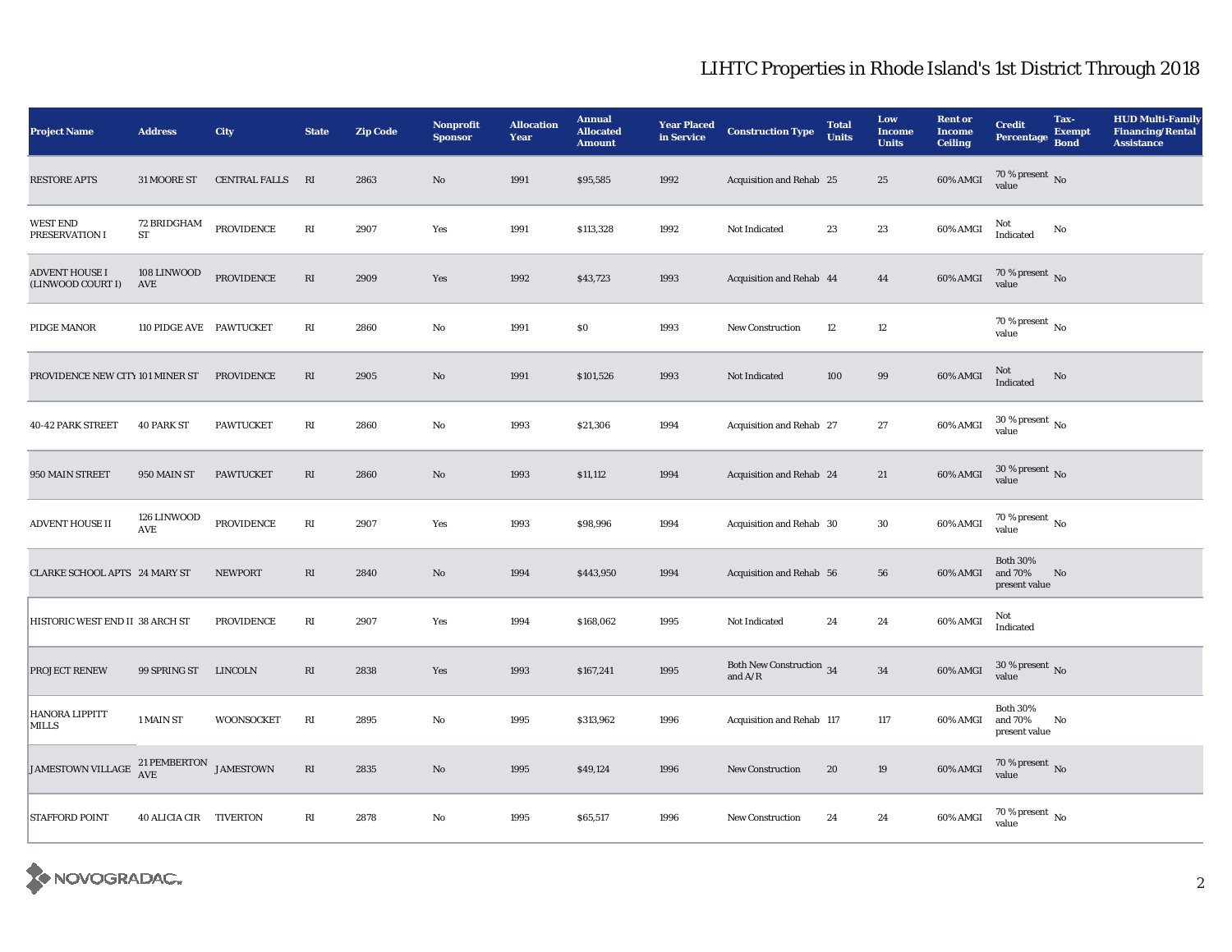| <b>Project Name</b>                                                                                                      | <b>Address</b>                      | City              | <b>State</b>           | <b>Zip Code</b> | <b>Nonprofit</b><br><b>Sponsor</b> | <b>Allocation</b><br>Year | <b>Annual</b><br><b>Allocated</b><br><b>Amount</b> | <b>Year Placed<br/>in Service</b> | <b>Construction Type</b>              | <b>Total</b><br><b>Units</b> | Low<br><b>Income</b><br><b>Units</b> | <b>Rent or</b><br><b>Income</b><br><b>Ceiling</b> | <b>Credit</b><br>Percentage                 | Tax-<br><b>Exempt</b><br><b>Bond</b> | <b>HUD Multi-Family</b><br><b>Financing/Rental</b><br><b>Assistance</b> |
|--------------------------------------------------------------------------------------------------------------------------|-------------------------------------|-------------------|------------------------|-----------------|------------------------------------|---------------------------|----------------------------------------------------|-----------------------------------|---------------------------------------|------------------------------|--------------------------------------|---------------------------------------------------|---------------------------------------------|--------------------------------------|-------------------------------------------------------------------------|
| <b>RESTORE APTS</b>                                                                                                      | 31 MOORE ST                         | CENTRAL FALLS RI  |                        | 2863            | $\mathbf{N}\mathbf{o}$             | 1991                      | \$95,585                                           | 1992                              | Acquisition and Rehab 25              |                              | $25\,$                               | 60% AMGI                                          | $70\,\%$ present $\,$ No value              |                                      |                                                                         |
| <b>WEST END</b><br>PRESERVATION I                                                                                        | <b>72 BRIDGHAM</b><br><b>ST</b>     | <b>PROVIDENCE</b> | RI                     | 2907            | Yes                                | 1991                      | \$113,328                                          | 1992                              | Not Indicated                         | 23                           | $\bf 23$                             | 60% AMGI                                          | Not<br>Indicated                            | No                                   |                                                                         |
| <b>ADVENT HOUSE I</b><br>(LINWOOD COURT I)                                                                               | 108 LINWOOD<br>AVE                  | PROVIDENCE        | $\mathbf{R}\mathbf{I}$ | 2909            | Yes                                | 1992                      | \$43,723                                           | 1993                              | Acquisition and Rehab 44              |                              | 44                                   | 60% AMGI                                          | $70\,\%$ present $\,$ No value              |                                      |                                                                         |
| PIDGE MANOR                                                                                                              | 110 PIDGE AVE PAWTUCKET             |                   | RI                     | 2860            | No                                 | 1991                      | $\$0$                                              | 1993                              | <b>New Construction</b>               | 12                           | $12\,$                               |                                                   | 70 % present $\,$ No $\,$<br>value          |                                      |                                                                         |
| PROVIDENCE NEW CITY 101 MINER ST                                                                                         |                                     | <b>PROVIDENCE</b> | $\mathbf{R}\mathbf{I}$ | 2905            | $\mathbf{N}\mathbf{o}$             | 1991                      | \$101,526                                          | 1993                              | Not Indicated                         | 100                          | $\bf{99}$                            | 60% AMGI                                          | Not<br>Indicated                            | No                                   |                                                                         |
| 40-42 PARK STREET                                                                                                        | <b>40 PARK ST</b>                   | <b>PAWTUCKET</b>  | RI                     | 2860            | No                                 | 1993                      | \$21,306                                           | 1994                              | Acquisition and Rehab 27              |                              | $\bf 27$                             | 60% AMGI                                          | $30$ % present $\,$ No value                |                                      |                                                                         |
| 950 MAIN STREET                                                                                                          | 950 MAIN ST                         | <b>PAWTUCKET</b>  | RI                     | 2860            | $\rm No$                           | 1993                      | \$11,112                                           | 1994                              | Acquisition and Rehab 24              |                              | 21                                   | 60% AMGI                                          | $30$ % present $\,$ No value                |                                      |                                                                         |
| ADVENT HOUSE II                                                                                                          | 126 LINWOOD<br>$\operatorname{AVE}$ | PROVIDENCE        | $\mathbf{R}\mathbf{I}$ | 2907            | Yes                                | 1993                      | \$98,996                                           | 1994                              | Acquisition and Rehab 30              |                              | $30\,$                               | 60% AMGI                                          | $70$ % present $\,$ No value                |                                      |                                                                         |
| CLARKE SCHOOL APTS 24 MARY ST                                                                                            |                                     | <b>NEWPORT</b>    | $\mathbf{R}\mathbf{I}$ | 2840            | $\mathbf{No}$                      | 1994                      | \$443,950                                          | 1994                              | Acquisition and Rehab 56              |                              | 56                                   | 60% AMGI                                          | <b>Both 30%</b><br>and 70%<br>present value | No                                   |                                                                         |
| HISTORIC WEST END II 38 ARCH ST                                                                                          |                                     | PROVIDENCE        | $\mathbf{R}\mathbf{I}$ | 2907            | Yes                                | 1994                      | \$168,062                                          | 1995                              | Not Indicated                         | 24                           | $\bf 24$                             | 60% AMGI                                          | Not<br>Indicated                            |                                      |                                                                         |
| PROJECT RENEW                                                                                                            | 99 SPRING ST                        | <b>LINCOLN</b>    | RI                     | 2838            | Yes                                | 1993                      | \$167,241                                          | 1995                              | Both New Construction 34<br>and $A/R$ |                              | $\bf{34}$                            | 60% AMGI                                          | $30$ % present $\,$ No value                |                                      |                                                                         |
| HANORA LIPPITT<br>MILLS                                                                                                  | 1 MAIN ST                           | <b>WOONSOCKET</b> | RI                     | 2895            | No                                 | 1995                      | \$313,962                                          | 1996                              | Acquisition and Rehab 117             |                              | 117                                  | 60% AMGI                                          | <b>Both 30%</b><br>and 70%<br>present value | No                                   |                                                                         |
| JAMESTOWN VILLAGE $\begin{array}{cc} {\bf 21} \, {\bf PEMBERTON} & {\bf JAMESTOWN} \\ {\bf AVE} & {\bf AVE} \end{array}$ |                                     |                   | RI                     | 2835            | No                                 | 1995                      | \$49,124                                           | 1996                              | <b>New Construction</b>               | 20                           | 19                                   | 60% AMGI                                          | $70$ % present $\,$ No value                |                                      |                                                                         |
| STAFFORD POINT                                                                                                           | 40 ALICIA CIR TIVERTON              |                   | RI                     | 2878            | No                                 | 1995                      | \$65,517                                           | 1996                              | <b>New Construction</b>               | 24                           | 24                                   | 60% AMGI                                          | 70 % present $\,$ No $\,$<br>value          |                                      |                                                                         |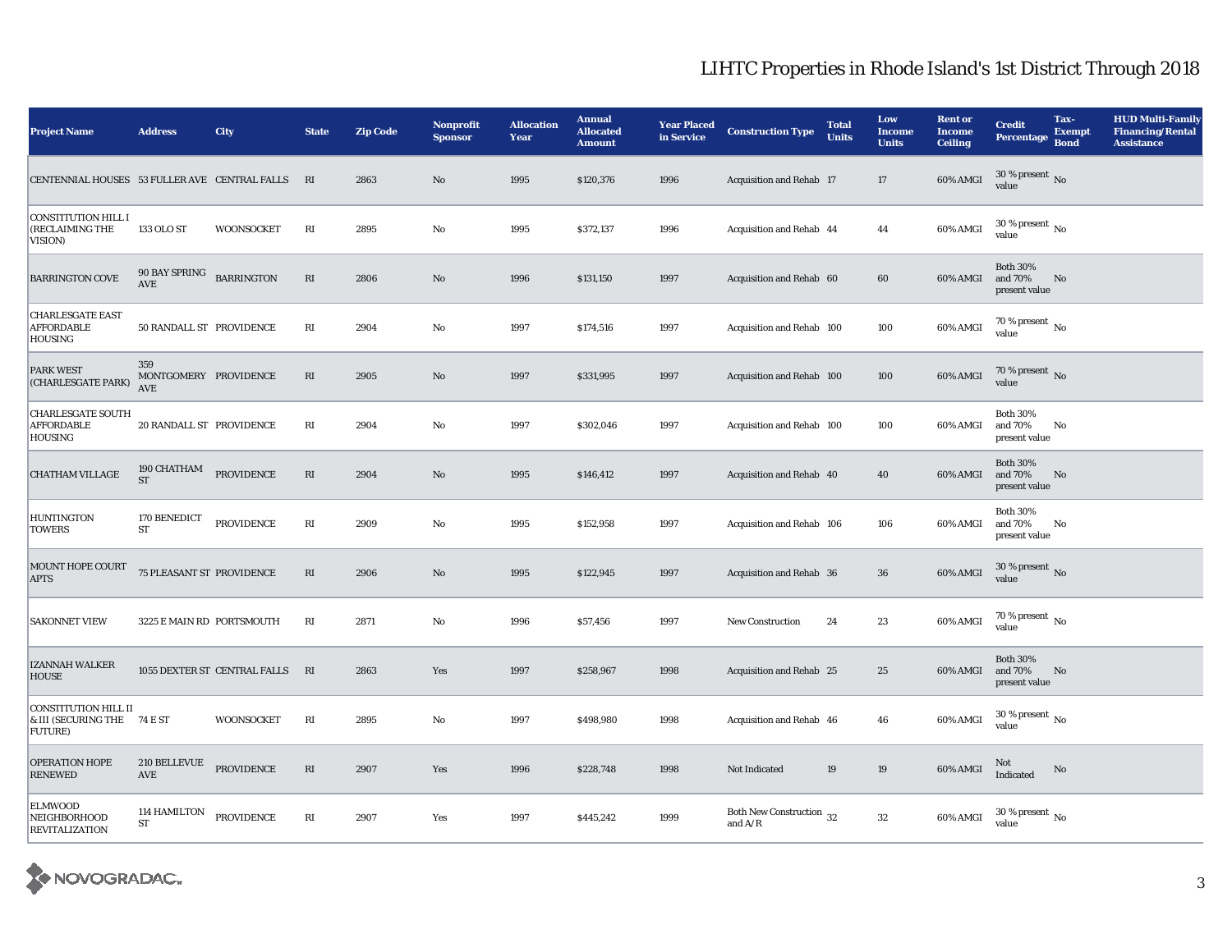| <b>Project Name</b>                                            | <b>Address</b>                             | <b>City</b>                  | <b>State</b>           | <b>Zip Code</b> | Nonprofit<br><b>Sponsor</b> | <b>Allocation</b><br>Year | <b>Annual</b><br><b>Allocated</b><br><b>Amount</b> | <b>Year Placed</b><br>in Service | <b>Construction Type</b>                                | <b>Total</b><br><b>Units</b> | Low<br><b>Income</b><br><b>Units</b> | <b>Rent or</b><br><b>Income</b><br><b>Ceiling</b> | <b>Credit</b><br><b>Percentage</b>          | Tax-<br><b>Exempt</b><br><b>Bond</b> | <b>HUD Multi-Family</b><br><b>Financing/Rental</b><br><b>Assistance</b> |
|----------------------------------------------------------------|--------------------------------------------|------------------------------|------------------------|-----------------|-----------------------------|---------------------------|----------------------------------------------------|----------------------------------|---------------------------------------------------------|------------------------------|--------------------------------------|---------------------------------------------------|---------------------------------------------|--------------------------------------|-------------------------------------------------------------------------|
| CENTENNIAL HOUSES 53 FULLER AVE CENTRAL FALLS                  |                                            |                              | RI                     | 2863            | No                          | 1995                      | \$120,376                                          | 1996                             | Acquisition and Rehab 17                                |                              | $17\,$                               | 60% AMGI                                          | 30 % present $\,$ No $\,$<br>value          |                                      |                                                                         |
| <b>CONSTITUTION HILL I</b><br>(RECLAIMING THE<br>VISION)       | 133 OLO ST                                 | WOONSOCKET                   | $\mathbf{R}\mathbf{I}$ | 2895            | No                          | 1995                      | \$372,137                                          | 1996                             | Acquisition and Rehab 44                                |                              | 44                                   | 60% AMGI                                          | 30 % present $\,$ No $\,$<br>value          |                                      |                                                                         |
| <b>BARRINGTON COVE</b>                                         | 90 BAY SPRING BARRINGTON<br>AVE            |                              | $\mathbf{R}\mathbf{I}$ | 2806            | No                          | 1996                      | \$131,150                                          | 1997                             | Acquisition and Rehab 60                                |                              | 60                                   | 60% AMGI                                          | <b>Both 30%</b><br>and 70%<br>present value | No                                   |                                                                         |
| <b>CHARLESGATE EAST</b><br><b>AFFORDABLE</b><br><b>HOUSING</b> | 50 RANDALL ST PROVIDENCE                   |                              | $\mathbf{R}\mathbf{I}$ | 2904            | No                          | 1997                      | \$174,516                                          | 1997                             | Acquisition and Rehab 100                               |                              | 100                                  | 60% AMGI                                          | 70 % present $\,$ No $\,$<br>value          |                                      |                                                                         |
| PARK WEST<br>(CHARLESGATE PARK)                                | 359<br>MONTGOMERY PROVIDENCE<br><b>AVE</b> |                              | $\mathbf{R}\mathbf{I}$ | 2905            | $\mathbf{N}\mathbf{o}$      | 1997                      | \$331,995                                          | 1997                             | Acquisition and Rehab 100                               |                              | 100                                  | 60% AMGI                                          | $70\,\%$ present $\,$ No value              |                                      |                                                                         |
| <b>CHARLESGATE SOUTH</b><br><b>AFFORDABLE</b><br>HOUSING       | 20 RANDALL ST PROVIDENCE                   |                              | $\mathbf{R}\mathbf{I}$ | 2904            | No                          | 1997                      | \$302,046                                          | 1997                             | Acquisition and Rehab 100                               |                              | 100                                  | 60% AMGI                                          | <b>Both 30%</b><br>and 70%<br>present value | No                                   |                                                                         |
| <b>CHATHAM VILLAGE</b>                                         | 190 CHATHAM<br>$\operatorname{ST}$         | PROVIDENCE                   | $\mathbf{R}\mathbf{I}$ | 2904            | $\rm No$                    | 1995                      | \$146,412                                          | 1997                             | Acquisition and Rehab 40                                |                              | 40                                   | 60% AMGI                                          | <b>Both 30%</b><br>and 70%<br>present value | No                                   |                                                                         |
| <b>HUNTINGTON</b><br><b>TOWERS</b>                             | 170 BENEDICT<br><b>ST</b>                  | <b>PROVIDENCE</b>            | RI                     | 2909            | No                          | 1995                      | \$152,958                                          | 1997                             | Acquisition and Rehab 106                               |                              | 106                                  | 60% AMGI                                          | <b>Both 30%</b><br>and 70%<br>present value | No                                   |                                                                         |
| MOUNT HOPE COURT<br><b>APTS</b>                                | 75 PLEASANT ST PROVIDENCE                  |                              | $\mathbf{R}\mathbf{I}$ | 2906            | $\mathbf{N}\mathbf{o}$      | 1995                      | \$122,945                                          | 1997                             | Acquisition and Rehab 36                                |                              | 36                                   | 60% AMGI                                          | 30 % present $\,$ No $\,$<br>value          |                                      |                                                                         |
| <b>SAKONNET VIEW</b>                                           | 3225 E MAIN RD PORTSMOUTH                  |                              | RI                     | 2871            | No                          | 1996                      | \$57,456                                           | 1997                             | <b>New Construction</b>                                 | 24                           | 23                                   | 60% AMGI                                          | 70 % present $\hbox{~No}$<br>value          |                                      |                                                                         |
| IZANNAH WALKER<br>HOUSE                                        |                                            | 1055 DEXTER ST CENTRAL FALLS | RI                     | 2863            | Yes                         | 1997                      | \$258,967                                          | 1998                             | Acquisition and Rehab 25                                |                              | 25                                   | 60% AMGI                                          | <b>Both 30%</b><br>and 70%<br>present value | No                                   |                                                                         |
| <b>CONSTITUTION HILL II</b><br>& III (SECURING THE<br>FUTURE)  | 74 E ST                                    | <b>WOONSOCKET</b>            | $\mathbf{R}\mathbf{I}$ | 2895            | No                          | 1997                      | \$498,980                                          | 1998                             | Acquisition and Rehab 46                                |                              | 46                                   | 60% AMGI                                          | 30 % present $\,$ No $\,$<br>value          |                                      |                                                                         |
| <b>OPERATION HOPE</b><br><b>RENEWED</b>                        | <b>210 BELLEVUE</b><br>AVE                 | <b>PROVIDENCE</b>            | RI                     | 2907            | Yes                         | 1996                      | \$228,748                                          | 1998                             | Not Indicated                                           | 19                           | $19\,$                               | 60% AMGI                                          | Not<br>Indicated                            | No                                   |                                                                         |
| <b>ELMWOOD</b><br>NEIGHBORHOOD<br><b>REVITALIZATION</b>        | 114 HAMILTON<br>ST                         | <b>PROVIDENCE</b>            | RI                     | 2907            | Yes                         | 1997                      | \$445,242                                          | 1999                             | Both New Construction 32<br>and $\mathrm{A}/\mathrm{R}$ |                              | $32\,$                               | 60% AMGI                                          | 30 % present $\,$ No $\,$<br>value          |                                      |                                                                         |

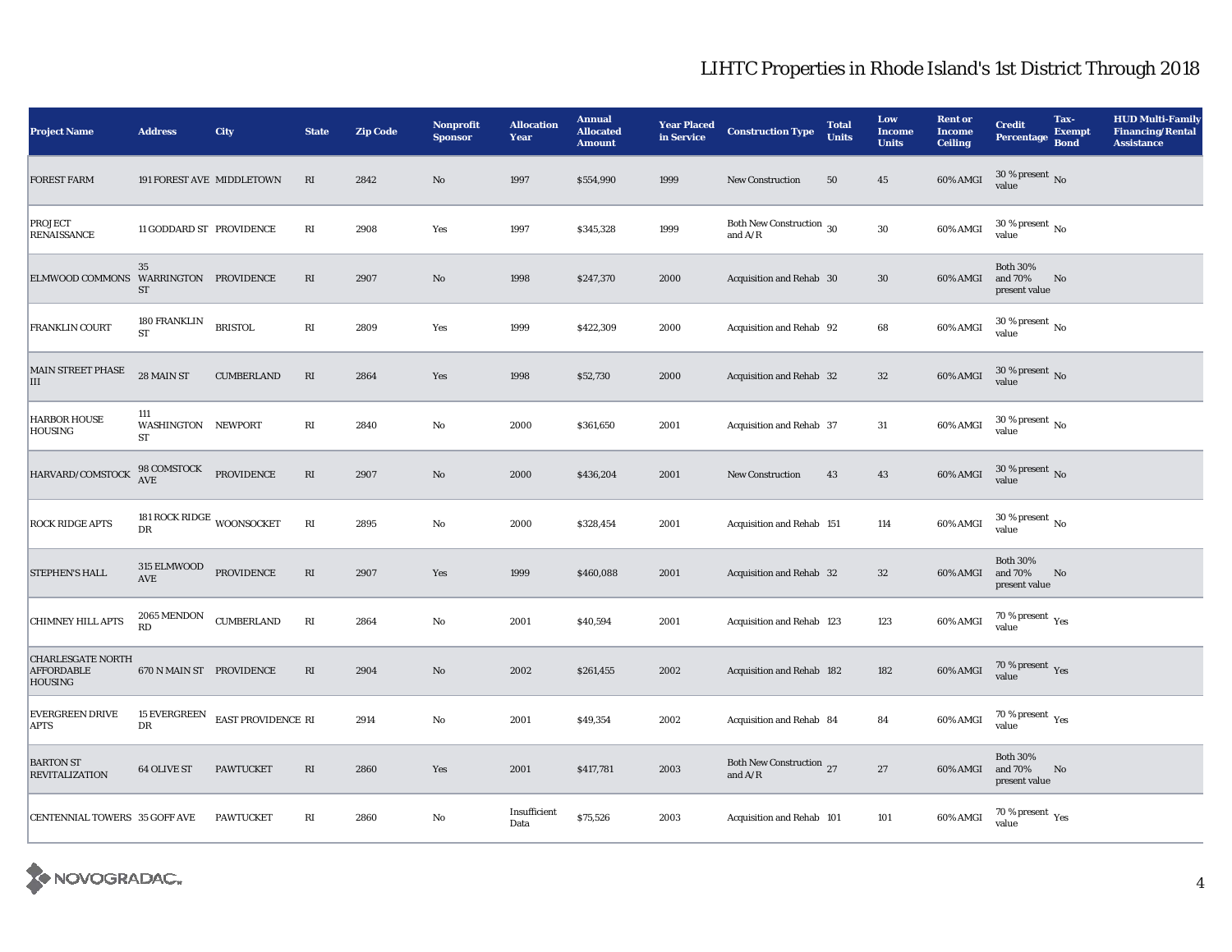| <b>Project Name</b>                                             | <b>Address</b>                           | <b>City</b>        | <b>State</b>           | <b>Zip Code</b> | <b>Nonprofit</b><br><b>Sponsor</b> | <b>Allocation</b><br>Year | <b>Annual</b><br><b>Allocated</b><br><b>Amount</b> | <b>Year Placed</b><br>in Service | <b>Construction Type</b>                                | <b>Total</b><br><b>Units</b> | Low<br><b>Income</b><br><b>Units</b> | <b>Rent or</b><br><b>Income</b><br><b>Ceiling</b> | <b>Credit</b><br><b>Percentage</b>          | Tax-<br><b>Exempt</b><br><b>Bond</b> | <b>HUD Multi-Family</b><br><b>Financing/Rental</b><br><b>Assistance</b> |
|-----------------------------------------------------------------|------------------------------------------|--------------------|------------------------|-----------------|------------------------------------|---------------------------|----------------------------------------------------|----------------------------------|---------------------------------------------------------|------------------------------|--------------------------------------|---------------------------------------------------|---------------------------------------------|--------------------------------------|-------------------------------------------------------------------------|
| <b>FOREST FARM</b>                                              | 191 FOREST AVE MIDDLETOWN                |                    | RI                     | 2842            | No                                 | 1997                      | \$554,990                                          | 1999                             | <b>New Construction</b>                                 | 50                           | $\bf 45$                             | 60% AMGI                                          | $30$ % present $\,$ No $\,$<br>value        |                                      |                                                                         |
| PROJECT<br>RENAISSANCE                                          | 11 GODDARD ST PROVIDENCE                 |                    | $\mathbf{R}\mathbf{I}$ | 2908            | Yes                                | 1997                      | \$345,328                                          | 1999                             | Both New Construction 30<br>and $A/R$                   |                              | ${\bf 30}$                           | 60% AMGI                                          | $30$ % present $\,$ No $\,$<br>value        |                                      |                                                                         |
| ELMWOOD COMMONS WARRINGTON PROVIDENCE                           | 35<br>ST                                 |                    | RI                     | 2907            | $\mathbf{N}\mathbf{o}$             | 1998                      | \$247,370                                          | 2000                             | Acquisition and Rehab 30                                |                              | $30\,$                               | 60% AMGI                                          | <b>Both 30%</b><br>and 70%<br>present value | No                                   |                                                                         |
| FRANKLIN COURT                                                  | 180 FRANKLIN<br><b>ST</b>                | <b>BRISTOL</b>     | RI                     | 2809            | Yes                                | 1999                      | \$422,309                                          | 2000                             | Acquisition and Rehab 92                                |                              | 68                                   | 60% AMGI                                          | $30$ % present $\,$ No value                |                                      |                                                                         |
| MAIN STREET PHASE<br>III                                        | 28 MAIN ST                               | <b>CUMBERLAND</b>  | $\mathbf{R}\mathbf{I}$ | 2864            | Yes                                | 1998                      | \$52,730                                           | 2000                             | Acquisition and Rehab 32                                |                              | 32                                   | 60% AMGI                                          | $30\,\%$ present $\,$ No value              |                                      |                                                                         |
| <b>HARBOR HOUSE</b><br>HOUSING                                  | 111<br>WASHINGTON NEWPORT<br><b>ST</b>   |                    | RI                     | 2840            | No                                 | 2000                      | \$361,650                                          | 2001                             | Acquisition and Rehab 37                                |                              | $31\,$                               | 60% AMGI                                          | $30$ % present $\,$ No value                |                                      |                                                                         |
| HARVARD/COMSTOCK                                                | $98$ COMSTOCK $$\sf PROVIDENCE$$         |                    | $\mathbf{R}\mathbf{I}$ | 2907            | $\mathbf{N}\mathbf{o}$             | 2000                      | \$436,204                                          | 2001                             | New Construction                                        | 43                           | 43                                   | 60% AMGI                                          | $30\,\%$ present $\,$ No value              |                                      |                                                                         |
| <b>ROCK RIDGE APTS</b>                                          | 181 ROCK RIDGE $_{\rm WOONSOCKET}$<br>DR |                    | $\mathbf{R}\mathbf{I}$ | 2895            | No                                 | 2000                      | \$328,454                                          | 2001                             | Acquisition and Rehab 151                               |                              | 114                                  | 60% AMGI                                          | 30 % present $\,$ No $\,$<br>value          |                                      |                                                                         |
| STEPHEN'S HALL                                                  | 315 ELMWOOD PROVIDENCE<br>AVE            |                    | $\mathbf{R}\mathbf{I}$ | 2907            | Yes                                | 1999                      | \$460,088                                          | 2001                             | Acquisition and Rehab 32                                |                              | $32\,$                               | 60% AMGI                                          | <b>Both 30%</b><br>and 70%<br>present value | No                                   |                                                                         |
| <b>CHIMNEY HILL APTS</b>                                        | 2065 MENDON<br>RD                        | <b>CUMBERLAND</b>  | $\mathbf{R}\mathbf{I}$ | 2864            | No                                 | 2001                      | \$40,594                                           | 2001                             | Acquisition and Rehab 123                               |                              | 123                                  | 60% AMGI                                          | 70 % present $\rm_{Yes}$<br>value           |                                      |                                                                         |
| <b>CHARLESGATE NORTH</b><br><b>AFFORDABLE</b><br><b>HOUSING</b> | 670 N MAIN ST PROVIDENCE                 |                    | $\mathbf{R}\mathbf{I}$ | 2904            | $\mathbf{N}\mathbf{o}$             | 2002                      | \$261,455                                          | 2002                             | Acquisition and Rehab 182                               |                              | 182                                  | $60\%$ AMGI                                       | $70\,\%$ present $\,$ Yes value             |                                      |                                                                         |
| <b>EVERGREEN DRIVE</b><br><b>APTS</b>                           | <b>15 EVERGREEN</b><br>DR                | EAST PROVIDENCE RI |                        | 2914            | No                                 | 2001                      | \$49,354                                           | 2002                             | Acquisition and Rehab 84                                |                              | 84                                   | 60% AMGI                                          | 70 % present $\rm\thinspace_{Yes}$<br>value |                                      |                                                                         |
| <b>BARTON ST</b><br><b>REVITALIZATION</b>                       | <b>64 OLIVE ST</b>                       | <b>PAWTUCKET</b>   | $\mathbf{R}\mathbf{I}$ | 2860            | Yes                                | 2001                      | \$417,781                                          | 2003                             | Both New Construction 27<br>and $\mathrm{A}/\mathrm{R}$ |                              | $\bf 27$                             | 60% AMGI                                          | <b>Both 30%</b><br>and 70%<br>present value | No                                   |                                                                         |
| CENTENNIAL TOWERS 35 GOFF AVE                                   |                                          | <b>PAWTUCKET</b>   | RI                     | 2860            | No                                 | Insufficient<br>Data      | \$75,526                                           | 2003                             | Acquisition and Rehab 101                               |                              | 101                                  | 60% AMGI                                          | 70 % present $\rm\thinspace_{Yes}$<br>value |                                      |                                                                         |

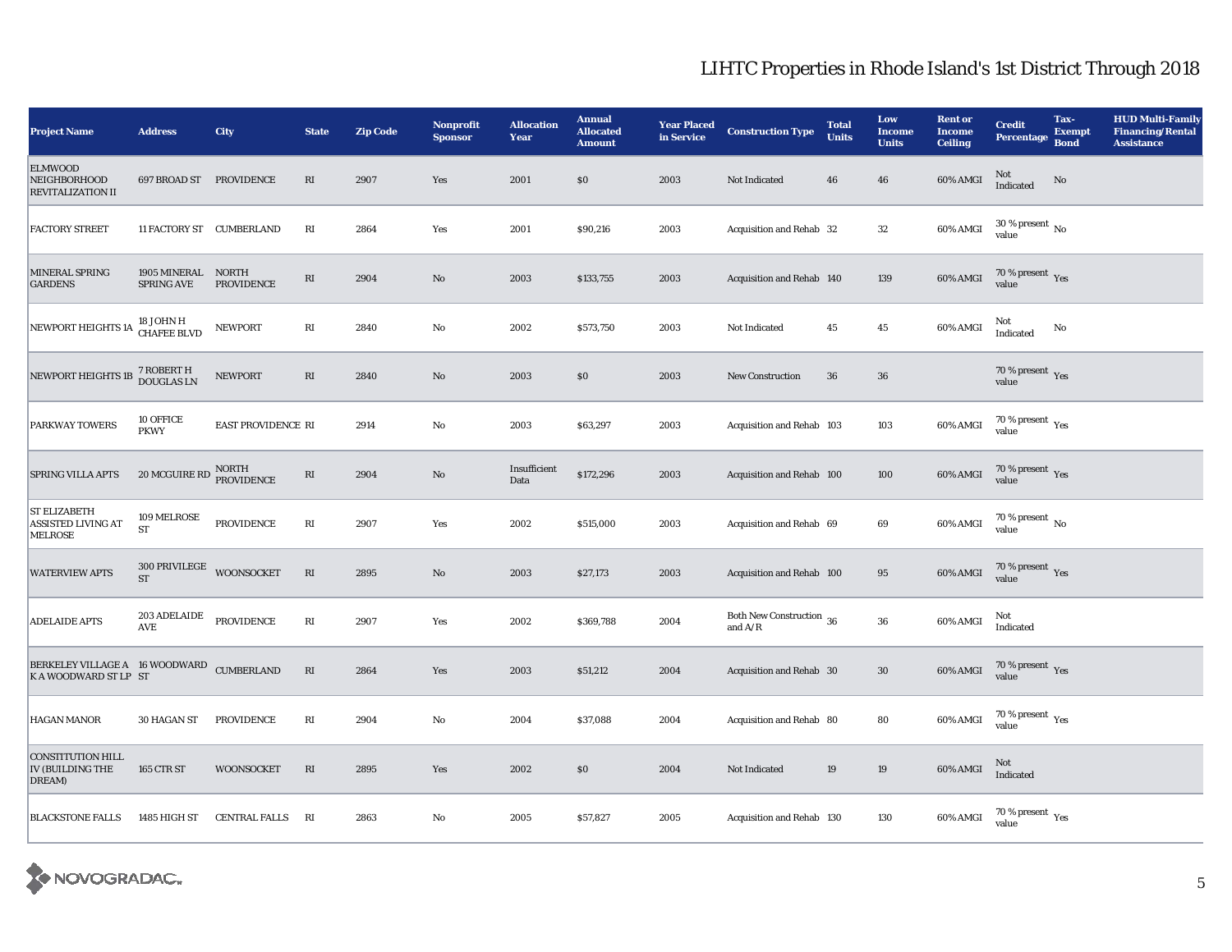| <b>Project Name</b>                                                | <b>Address</b>                                         | <b>City</b>                       | <b>State</b>           | <b>Zip Code</b> | <b>Nonprofit</b><br><b>Sponsor</b> | <b>Allocation</b><br>Year | <b>Annual</b><br><b>Allocated</b><br><b>Amount</b> | <b>Year Placed</b><br>in Service | <b>Construction Type</b>              | <b>Total</b><br><b>Units</b> | Low<br><b>Income</b><br><b>Units</b> | <b>Rent or</b><br><b>Income</b><br><b>Ceiling</b> | <b>Credit</b><br><b>Percentage</b>                   | Tax-<br><b>Exempt</b><br><b>Bond</b> | <b>HUD Multi-Family</b><br><b>Financing/Rental</b><br><b>Assistance</b> |
|--------------------------------------------------------------------|--------------------------------------------------------|-----------------------------------|------------------------|-----------------|------------------------------------|---------------------------|----------------------------------------------------|----------------------------------|---------------------------------------|------------------------------|--------------------------------------|---------------------------------------------------|------------------------------------------------------|--------------------------------------|-------------------------------------------------------------------------|
| <b>ELMWOOD</b><br><b>NEIGHBORHOOD</b><br><b>REVITALIZATION II</b>  | 697 BROAD ST PROVIDENCE                                |                                   | $\mathbf{R}\mathbf{I}$ | 2907            | Yes                                | 2001                      | \$0                                                | 2003                             | Not Indicated                         | 46                           | 46                                   | 60% AMGI                                          | Not<br>Indicated                                     | No                                   |                                                                         |
| <b>FACTORY STREET</b>                                              | 11 FACTORY ST CUMBERLAND                               |                                   | $\mathbb{R}\mathbb{I}$ | 2864            | Yes                                | 2001                      | \$90,216                                           | 2003                             | Acquisition and Rehab 32              |                              | ${\bf 32}$                           | 60% AMGI                                          | $30$ % present $\,$ No $\,$<br>value                 |                                      |                                                                         |
| MINERAL SPRING<br><b>GARDENS</b>                                   | 1905 MINERAL<br><b>SPRING AVE</b>                      | <b>NORTH</b><br><b>PROVIDENCE</b> | RI                     | 2904            | $\mathbf{N}\mathbf{o}$             | 2003                      | \$133,755                                          | 2003                             | Acquisition and Rehab 140             |                              | 139                                  | 60% AMGI                                          | $70\,\%$ present $\,$ Yes value                      |                                      |                                                                         |
| NEWPORT HEIGHTS 1A                                                 | 18 JOHN H<br>CHAFEE BLVD                               | <b>NEWPORT</b>                    | RI                     | 2840            | $\mathbf {No}$                     | 2002                      | \$573,750                                          | 2003                             | Not Indicated                         | 45                           | $45\,$                               | 60% AMGI                                          | Not<br>Indicated                                     | No                                   |                                                                         |
| NEWPORT HEIGHTS 1B                                                 | 7 ROBERT H<br>DOUGLAS LN                               | <b>NEWPORT</b>                    | $\mathbf{R}\mathbf{I}$ | 2840            | $\rm\thinspace No$                 | 2003                      | \$0                                                | 2003                             | <b>New Construction</b>               | ${\bf 36}$                   | ${\bf 36}$                           |                                                   | 70 % present $\,$ $\rm Yes$<br>value                 |                                      |                                                                         |
| PARKWAY TOWERS                                                     | 10 OFFICE<br><b>PKWY</b>                               | EAST PROVIDENCE RI                |                        | 2914            | $\rm No$                           | 2003                      | \$63,297                                           | 2003                             | Acquisition and Rehab 103             |                              | 103                                  | $60\%$ AMGI                                       | 70 % present $\rm\thinspace_{Yes}$<br>value          |                                      |                                                                         |
| SPRING VILLA APTS                                                  | $20\,$ MCGUIRE RD $\frac{\rm{NORTH}}{\rm{PROVIDENCE}}$ |                                   | $\mathbf{R}\mathbf{I}$ | 2904            | $\rm No$                           | Insufficient<br>Data      | \$172,296                                          | 2003                             | Acquisition and Rehab 100             |                              | 100                                  | 60% AMGI                                          | $70\,\%$ present $\,$ Yes value                      |                                      |                                                                         |
| <b>ST ELIZABETH</b><br>ASSISTED LIVING AT<br><b>MELROSE</b>        | 109 MELROSE<br><b>ST</b>                               | PROVIDENCE                        | $\mathbf{R}\mathbf{I}$ | 2907            | Yes                                | 2002                      | \$515,000                                          | 2003                             | Acquisition and Rehab 69              |                              | 69                                   | 60% AMGI                                          | 70 % present $\,$ No $\,$<br>value                   |                                      |                                                                         |
| <b>WATERVIEW APTS</b>                                              | 300 PRIVILEGE WOONSOCKET<br>ST                         |                                   | $\mathbf{R}\mathbf{I}$ | 2895            | $\rm No$                           | 2003                      | \$27,173                                           | 2003                             | Acquisition and Rehab 100             |                              | $\bf 95$                             | 60% AMGI                                          | $70\,\%$ present $\,$ Yes value                      |                                      |                                                                         |
| <b>ADELAIDE APTS</b>                                               | 203 ADELAIDE<br>AVE                                    | <b>PROVIDENCE</b>                 | $\mathbf{R}\mathbf{I}$ | 2907            | Yes                                | 2002                      | \$369,788                                          | 2004                             | Both New Construction 36<br>and $A/R$ |                              | ${\bf 36}$                           | 60% AMGI                                          | Not<br>Indicated                                     |                                      |                                                                         |
| BERKELEY VILLAGE A 16 WOODWARD CUMBERLAND<br>K A WOODWARD ST LP ST |                                                        |                                   | $\mathbf{R}\mathbf{I}$ | 2864            | Yes                                | 2003                      | \$51,212                                           | 2004                             | Acquisition and Rehab 30              |                              | $30\,$                               | 60% AMGI                                          | $70\,\%$ present $\,$ Yes value                      |                                      |                                                                         |
| <b>HAGAN MANOR</b>                                                 | 30 HAGAN ST                                            | <b>PROVIDENCE</b>                 | RI                     | 2904            | $\mathbf{N}\mathbf{o}$             | 2004                      | \$37,088                                           | 2004                             | Acquisition and Rehab 80              |                              | 80                                   | 60% AMGI                                          | 70 % present $\rm_{Yes}$<br>value                    |                                      |                                                                         |
| <b>CONSTITUTION HILL</b><br>IV (BUILDING THE<br>DREAM)             | <b>165 CTR ST</b>                                      | <b>WOONSOCKET</b>                 | $\mathbf{R}\mathbf{I}$ | 2895            | Yes                                | 2002                      | \$0                                                | 2004                             | Not Indicated                         | 19                           | 19                                   | 60% AMGI                                          | Not<br>Indicated                                     |                                      |                                                                         |
| <b>BLACKSTONE FALLS</b>                                            | 1485 HIGH ST                                           | <b>CENTRAL FALLS</b>              | RI                     | 2863            | No                                 | 2005                      | \$57,827                                           | 2005                             | Acquisition and Rehab 130             |                              | 130                                  | 60% AMGI                                          | 70 % present $\rm\thinspace\gamma_{\rm es}$<br>value |                                      |                                                                         |

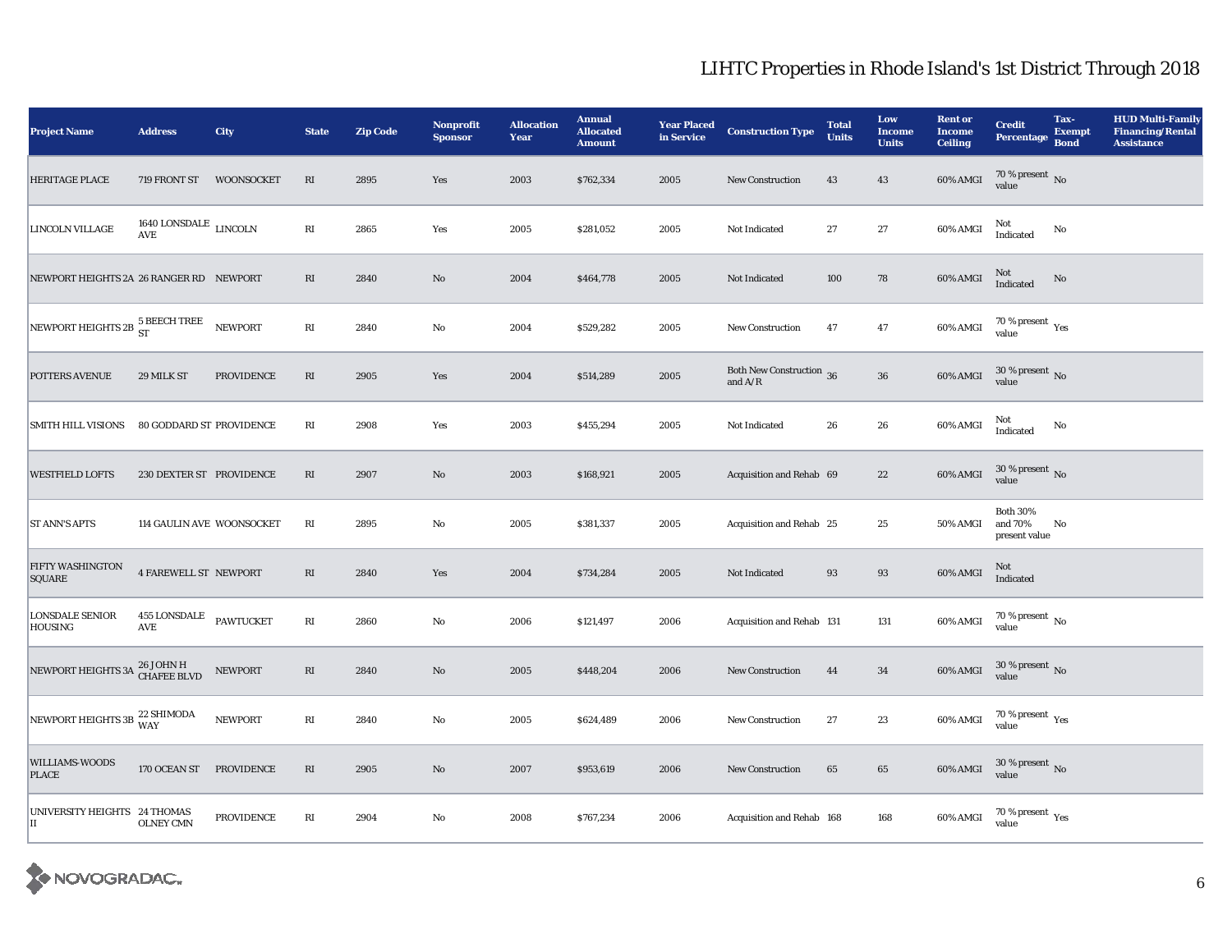| <b>Project Name</b>                                  | <b>Address</b>                                | <b>City</b>       | <b>State</b>           | <b>Zip Code</b> | <b>Nonprofit</b><br><b>Sponsor</b> | <b>Allocation</b><br>Year | <b>Annual</b><br><b>Allocated</b><br><b>Amount</b> | <b>Year Placed</b><br>in Service | <b>Construction Type</b>              | <b>Total</b><br><b>Units</b> | Low<br><b>Income</b><br><b>Units</b> | <b>Rent or</b><br><b>Income</b><br><b>Ceiling</b> | <b>Credit</b><br><b>Percentage</b>          | Tax-<br><b>Exempt</b><br><b>Bond</b> | <b>HUD Multi-Family</b><br><b>Financing/Rental</b><br><b>Assistance</b> |
|------------------------------------------------------|-----------------------------------------------|-------------------|------------------------|-----------------|------------------------------------|---------------------------|----------------------------------------------------|----------------------------------|---------------------------------------|------------------------------|--------------------------------------|---------------------------------------------------|---------------------------------------------|--------------------------------------|-------------------------------------------------------------------------|
| HERITAGE PLACE                                       | 719 FRONT ST                                  | <b>WOONSOCKET</b> | RI                     | 2895            | Yes                                | 2003                      | \$762,334                                          | 2005                             | <b>New Construction</b>               | 43                           | 43                                   | 60% AMGI                                          | $70\,\%$ present $\,$ No value              |                                      |                                                                         |
| LINCOLN VILLAGE                                      | 1640 LONSDALE $_{\rm LINCOLN}$<br>AVE         |                   | RI                     | 2865            | Yes                                | 2005                      | \$281,052                                          | 2005                             | Not Indicated                         | 27                           | 27                                   | 60% AMGI                                          | Not<br>Indicated                            | No                                   |                                                                         |
| NEWPORT HEIGHTS 2A 26 RANGER RD NEWPORT              |                                               |                   | $\mathbf{R}\mathbf{I}$ | 2840            | $\mathbf{N}\mathbf{o}$             | 2004                      | \$464,778                                          | 2005                             | Not Indicated                         | 100                          | 78                                   | $60\%$ AMGI                                       | Not<br>Indicated                            | No                                   |                                                                         |
| NEWPORT HEIGHTS 2B $_{\rm ST}^{5\text{ BEECH TREE}}$ |                                               | <b>NEWPORT</b>    | RI                     | 2840            | No                                 | 2004                      | \$529,282                                          | 2005                             | <b>New Construction</b>               | 47                           | $\bf 47$                             | 60% AMGI                                          | 70 % present $\rm_{Yes}$<br>value           |                                      |                                                                         |
| POTTERS AVENUE                                       | 29 MILK ST                                    | <b>PROVIDENCE</b> | $\mathbf{R}\mathbf{I}$ | 2905            | Yes                                | 2004                      | \$514,289                                          | 2005                             | Both New Construction 36<br>and $A/R$ |                              | ${\bf 36}$                           | 60% AMGI                                          | $30$ % present $\,$ No value                |                                      |                                                                         |
| SMITH HILL VISIONS                                   | 80 GODDARD ST PROVIDENCE                      |                   | $\mathbf{R}\mathbf{I}$ | 2908            | Yes                                | 2003                      | \$455,294                                          | 2005                             | Not Indicated                         | 26                           | $\bf 26$                             | 60% AMGI                                          | Not<br>Indicated                            | No                                   |                                                                         |
| <b>WESTFIELD LOFTS</b>                               | 230 DEXTER ST PROVIDENCE                      |                   | RI                     | 2907            | $\rm No$                           | 2003                      | \$168,921                                          | 2005                             | Acquisition and Rehab 69              |                              | $\bf{22}$                            | 60% AMGI                                          | $30\,\%$ present $\,$ No value              |                                      |                                                                         |
| <b>ST ANN'S APTS</b>                                 | 114 GAULIN AVE WOONSOCKET                     |                   | RI                     | 2895            | No                                 | 2005                      | \$381,337                                          | 2005                             | Acquisition and Rehab 25              |                              | 25                                   | <b>50% AMGI</b>                                   | <b>Both 30%</b><br>and 70%<br>present value | No                                   |                                                                         |
| FIFTY WASHINGTON<br><b>SQUARE</b>                    | <b>4 FAREWELL ST NEWPORT</b>                  |                   | RI                     | 2840            | Yes                                | 2004                      | \$734,284                                          | 2005                             | Not Indicated                         | 93                           | 93                                   | 60% AMGI                                          | Not<br>Indicated                            |                                      |                                                                         |
| <b>LONSDALE SENIOR</b><br><b>HOUSING</b>             | 455 LONSDALE<br>$\operatorname{\mathbf{AVE}}$ | <b>PAWTUCKET</b>  | RI                     | 2860            | No                                 | 2006                      | \$121,497                                          | 2006                             | Acquisition and Rehab 131             |                              | 131                                  | 60% AMGI                                          | $70\,\%$ present $\,$ No value              |                                      |                                                                         |
| NEWPORT HEIGHTS 3A 26 JOHN H                         |                                               | <b>NEWPORT</b>    | $\mathbf{R}\mathbf{I}$ | 2840            | No                                 | 2005                      | \$448,204                                          | 2006                             | <b>New Construction</b>               | 44                           | $\bf{34}$                            | 60% AMGI                                          | $30\,\%$ present $\,$ No value              |                                      |                                                                         |
| NEWPORT HEIGHTS 3B 22 SHIMODA                        |                                               | <b>NEWPORT</b>    | $\mathbf{R}\mathbf{I}$ | 2840            | No                                 | 2005                      | \$624,489                                          | 2006                             | New Construction                      | 27                           | $\bf 23$                             | 60% AMGI                                          | $70\,\%$ present $\,$ Yes value             |                                      |                                                                         |
| WILLIAMS-WOODS<br><b>PLACE</b>                       | 170 OCEAN ST PROVIDENCE                       |                   | $\mathbf{R}\mathbf{I}$ | 2905            | No                                 | 2007                      | \$953,619                                          | 2006                             | New Construction                      | 65                           | $\bf 65$                             | 60% AMGI                                          | $30\,\%$ present $\,$ No value              |                                      |                                                                         |
| UNIVERSITY HEIGHTS 24 THOMAS<br>П                    | <b>OLNEY CMN</b>                              | <b>PROVIDENCE</b> | RI                     | 2904            | No                                 | 2008                      | \$767,234                                          | 2006                             | Acquisition and Rehab 168             |                              | 168                                  | 60% AMGI                                          | 70 % present $\rm\thinspace_{Yes}$<br>value |                                      |                                                                         |

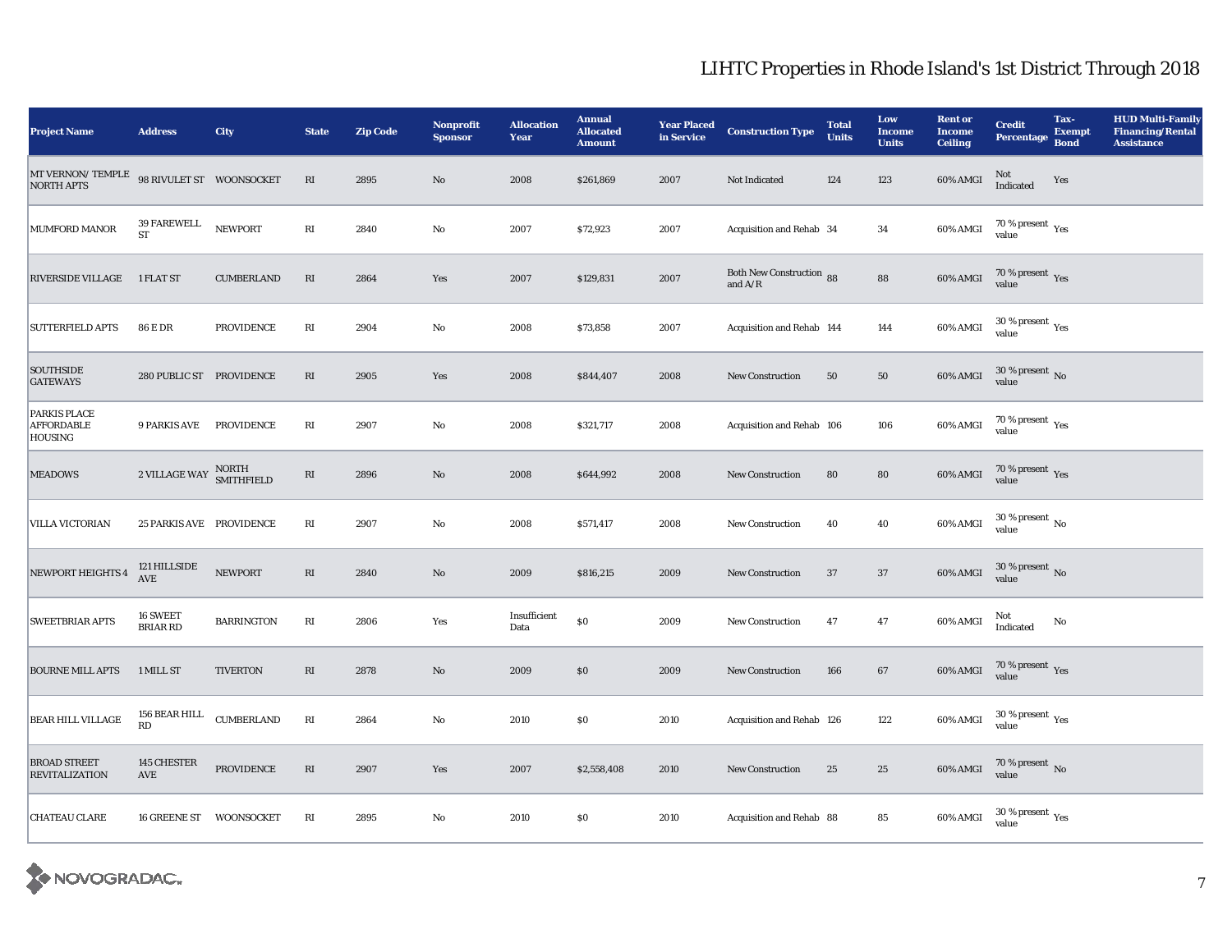| <b>Project Name</b>                                          | <b>Address</b>                                | City                | <b>State</b>           | <b>Zip Code</b> | <b>Nonprofit</b><br><b>Sponsor</b> | <b>Allocation</b><br>Year | <b>Annual</b><br><b>Allocated</b><br><b>Amount</b> | <b>Year Placed</b><br>in Service | <b>Construction Type</b>              | <b>Total</b><br><b>Units</b> | Low<br><b>Income</b><br><b>Units</b> | <b>Rent or</b><br><b>Income</b><br><b>Ceiling</b> | <b>Credit</b><br><b>Percentage</b>                   | Tax-<br><b>Exempt</b><br><b>Bond</b> | <b>HUD Multi-Family</b><br><b>Financing/Rental</b><br><b>Assistance</b> |
|--------------------------------------------------------------|-----------------------------------------------|---------------------|------------------------|-----------------|------------------------------------|---------------------------|----------------------------------------------------|----------------------------------|---------------------------------------|------------------------------|--------------------------------------|---------------------------------------------------|------------------------------------------------------|--------------------------------------|-------------------------------------------------------------------------|
| $\ensuremath{\text{MT}}$ VERNON/ TEMPLE<br><b>NORTH APTS</b> | 98 RIVULET ST WOONSOCKET                      |                     | $\mathbf{R}\mathbf{I}$ | 2895            | $\rm No$                           | 2008                      | \$261,869                                          | 2007                             | Not Indicated                         | 124                          | 123                                  | 60% AMGI                                          | Not<br>Indicated                                     | Yes                                  |                                                                         |
| <b>MUMFORD MANOR</b>                                         | 39 FAREWELL<br><b>ST</b>                      | <b>NEWPORT</b>      | $\mathbf{R}\mathbf{I}$ | 2840            | No                                 | 2007                      | \$72,923                                           | 2007                             | Acquisition and Rehab 34              |                              | 34                                   | 60% AMGI                                          | 70 % present $\rm\thinspace\gamma_{\rm es}$<br>value |                                      |                                                                         |
| RIVERSIDE VILLAGE 1 FLAT ST                                  |                                               | <b>CUMBERLAND</b>   | $\mathbf{R}\mathbf{I}$ | 2864            | Yes                                | 2007                      | \$129,831                                          | 2007                             | Both New Construction 88<br>and $A/R$ |                              | 88                                   | 60% AMGI                                          | $70\,\%$ present $\,$ Yes value                      |                                      |                                                                         |
| <b>SUTTERFIELD APTS</b>                                      | $86$ E DR                                     | <b>PROVIDENCE</b>   | $\mathbf{R}\mathbf{I}$ | 2904            | $\mathbf {No}$                     | 2008                      | \$73,858                                           | 2007                             | Acquisition and Rehab 144             |                              | 144                                  | 60% AMGI                                          | $30$ % present $\,$ $\rm Yes$<br>value               |                                      |                                                                         |
| <b>SOUTHSIDE</b><br><b>GATEWAYS</b>                          | 280 PUBLIC ST PROVIDENCE                      |                     | RI                     | 2905            | Yes                                | 2008                      | \$844,407                                          | 2008                             | <b>New Construction</b>               | 50                           | 50                                   | 60% AMGI                                          | $30$ % present $\,$ No value                         |                                      |                                                                         |
| <b>PARKIS PLACE</b><br><b>AFFORDABLE</b><br><b>HOUSING</b>   | <b>9 PARKIS AVE</b>                           | <b>PROVIDENCE</b>   | $\mathbf{R}\mathbf{I}$ | 2907            | $\mathbf{N}\mathbf{o}$             | 2008                      | \$321,717                                          | 2008                             | Acquisition and Rehab 106             |                              | 106                                  | 60% AMGI                                          | 70 % present $\rm\thinspace_{Yes}$<br>value          |                                      |                                                                         |
| <b>MEADOWS</b>                                               | $2$ VILLAGE WAY                               | NORTH<br>SMITHFIELD | $\mathbf{R}\mathbf{I}$ | 2896            | $\mathbf{No}$                      | 2008                      | \$644,992                                          | 2008                             | New Construction                      | 80                           | 80                                   | 60% AMGI                                          | $70\,\%$ present $\,\mathrm{Yes}$ value              |                                      |                                                                         |
| VILLA VICTORIAN                                              | 25 PARKIS AVE PROVIDENCE                      |                     | $\mathbf{R}\mathbf{I}$ | 2907            | $\rm No$                           | 2008                      | \$571,417                                          | 2008                             | <b>New Construction</b>               | 40                           | 40                                   | 60% AMGI                                          | $30$ % present $\,$ No $\,$<br>value                 |                                      |                                                                         |
| NEWPORT HEIGHTS 4                                            | 121 HILLSIDE<br>$\operatorname{\mathbf{AVE}}$ | <b>NEWPORT</b>      | RI                     | 2840            | $\mathbf{N}\mathbf{o}$             | 2009                      | \$816,215                                          | 2009                             | <b>New Construction</b>               | 37                           | 37                                   | 60% AMGI                                          | $30$ % present $\,$ No value                         |                                      |                                                                         |
| <b>SWEETBRIAR APTS</b>                                       | 16 SWEET<br><b>BRIAR RD</b>                   | <b>BARRINGTON</b>   | $\mathbf{R}\mathbf{I}$ | 2806            | Yes                                | Insufficient<br>Data      | $\$0$                                              | 2009                             | <b>New Construction</b>               | 47                           | 47                                   | 60% AMGI                                          | Not<br>Indicated                                     | No                                   |                                                                         |
| <b>BOURNE MILL APTS</b>                                      | 1 MILL ST                                     | <b>TIVERTON</b>     | RI                     | 2878            | $\mathbf{N}\mathbf{o}$             | 2009                      | $\$0$                                              | 2009                             | New Construction                      | 166                          | 67                                   | 60% AMGI                                          | $70\,\%$ present $\,\mathrm{Yes}$ value              |                                      |                                                                         |
| <b>BEAR HILL VILLAGE</b>                                     | 156 BEAR HILL<br>RD                           | <b>CUMBERLAND</b>   | $\mathbf{R}\mathbf{I}$ | 2864            | $\rm No$                           | 2010                      | $\$0$                                              | 2010                             | Acquisition and Rehab 126             |                              | 122                                  | 60% AMGI                                          | 30 % present $\rm \gamma_{\rm es}$<br>value          |                                      |                                                                         |
| <b>BROAD STREET</b><br><b>REVITALIZATION</b>                 | 145 CHESTER<br>$\operatorname{AVE}$           | PROVIDENCE          | RI                     | 2907            | Yes                                | 2007                      | \$2,558,408                                        | 2010                             | <b>New Construction</b>               | 25                           | $\bf 25$                             | 60% AMGI                                          | $70\,\%$ present $\,$ No value                       |                                      |                                                                         |
| <b>CHATEAU CLARE</b>                                         | 16 GREENE ST                                  | WOONSOCKET          | $\mathbf{R}\mathbf{I}$ | 2895            | No                                 | 2010                      | \$0\$                                              | 2010                             | Acquisition and Rehab 88              |                              | 85                                   | 60% AMGI                                          | $30$ % present $\,$ $\rm Yes$<br>value               |                                      |                                                                         |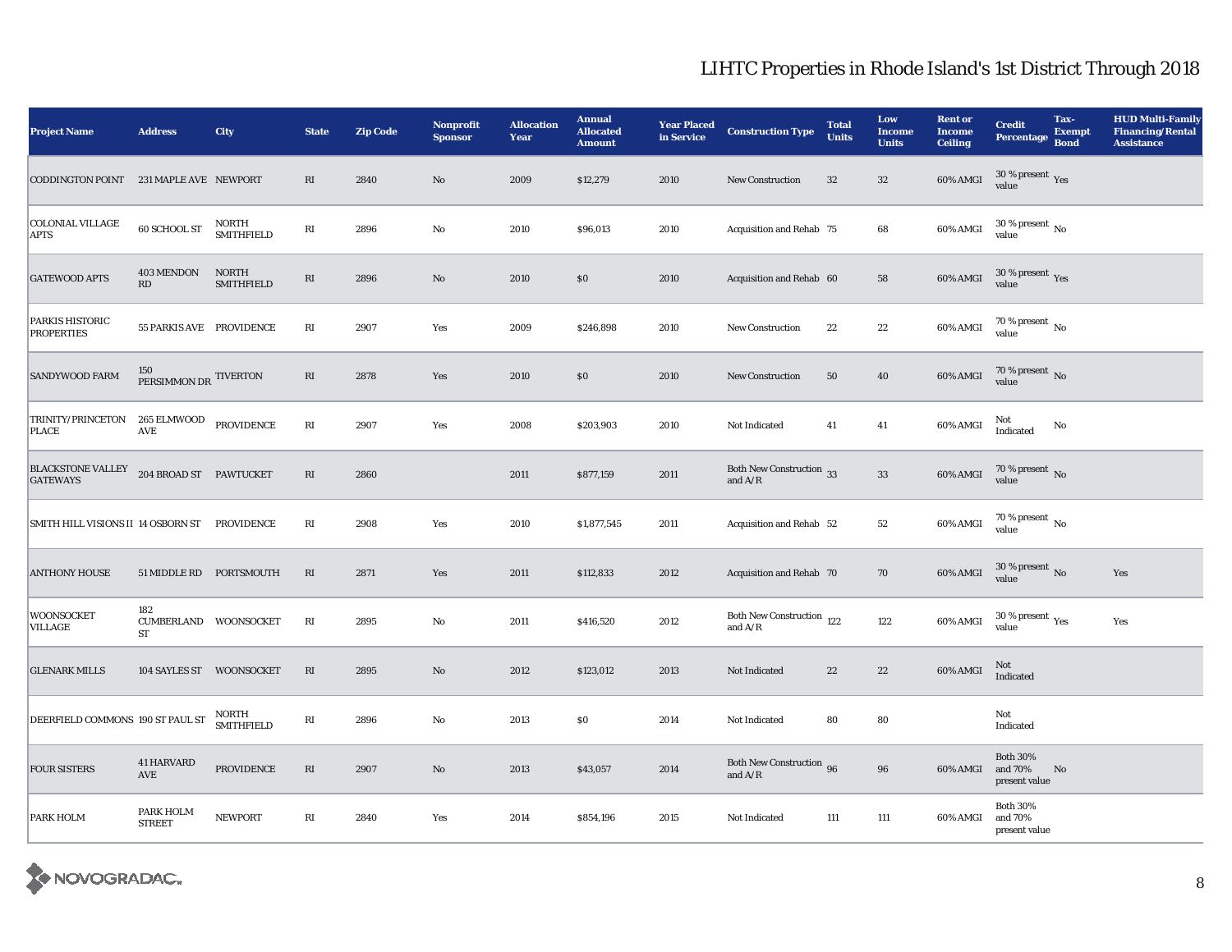| <b>Project Name</b>                                   | <b>Address</b>                               | City                              | <b>State</b>           | <b>Zip Code</b> | <b>Nonprofit</b><br><b>Sponsor</b> | <b>Allocation</b><br>Year | <b>Annual</b><br><b>Allocated</b><br><b>Amount</b> | <b>Year Placed</b><br>in Service | <b>Construction Type</b>                         | <b>Total</b><br><b>Units</b> | Low<br><b>Income</b><br><b>Units</b> | <b>Rent or</b><br><b>Income</b><br><b>Ceiling</b> | <b>Credit</b><br><b>Percentage</b>          | Tax-<br><b>Exempt</b><br><b>Bond</b> | <b>HUD Multi-Family</b><br><b>Financing/Rental</b><br><b>Assistance</b> |
|-------------------------------------------------------|----------------------------------------------|-----------------------------------|------------------------|-----------------|------------------------------------|---------------------------|----------------------------------------------------|----------------------------------|--------------------------------------------------|------------------------------|--------------------------------------|---------------------------------------------------|---------------------------------------------|--------------------------------------|-------------------------------------------------------------------------|
| CODDINGTON POINT 231 MAPLE AVE NEWPORT                |                                              |                                   | RI                     | 2840            | No                                 | 2009                      | \$12,279                                           | 2010                             | New Construction                                 | 32                           | 32                                   | 60% AMGI                                          | $30\,\%$ present $\,\mathrm{Yes}$ value     |                                      |                                                                         |
| <b>COLONIAL VILLAGE</b><br><b>APTS</b>                | 60 SCHOOL ST                                 | NORTH<br><b>SMITHFIELD</b>        | RI                     | 2896            | $\mathbf{No}$                      | 2010                      | \$96,013                                           | 2010                             | Acquisition and Rehab 75                         |                              | 68                                   | 60% AMGI                                          | $30$ % present $\,$ No $\,$<br>value        |                                      |                                                                         |
| <b>GATEWOOD APTS</b>                                  | 403 MENDON<br>RD                             | <b>NORTH</b><br><b>SMITHFIELD</b> | $\mathbf{R}\mathbf{I}$ | 2896            | $\rm No$                           | 2010                      | \$0                                                | 2010                             | Acquisition and Rehab 60                         |                              | 58                                   | 60% AMGI                                          | $30\,\%$ present $\,$ Yes value             |                                      |                                                                         |
| PARKIS HISTORIC<br><b>PROPERTIES</b>                  | 55 PARKIS AVE PROVIDENCE                     |                                   | RI                     | 2907            | Yes                                | 2009                      | \$246,898                                          | 2010                             | <b>New Construction</b>                          | $\bf{22}$                    | $\bf{22}$                            | 60% AMGI                                          | $70$ % present $_{\, \rm No}$<br>value      |                                      |                                                                         |
| <b>SANDYWOOD FARM</b>                                 | 150<br>PERSIMMON DR TIVERTON                 |                                   | RI                     | 2878            | Yes                                | 2010                      | \$0                                                | 2010                             | <b>New Construction</b>                          | 50                           | 40                                   | 60% AMGI                                          | $70\,\%$ present $\,$ No value              |                                      |                                                                         |
| TRINITY/PRINCETON<br><b>PLACE</b>                     | 265 ELMWOOD<br>$\operatorname{\mathsf{AVE}}$ | PROVIDENCE                        | RI                     | 2907            | Yes                                | 2008                      | \$203,903                                          | 2010                             | Not Indicated                                    | 41                           | 41                                   | 60% AMGI                                          | Not<br>Indicated                            | No                                   |                                                                         |
| $\operatorname{BLACKSTONE}$ VALLEY<br><b>GATEWAYS</b> | 204 BROAD ST PAWTUCKET                       |                                   | $\mathbf{R}\mathbf{I}$ | 2860            |                                    | 2011                      | \$877,159                                          | 2011                             | <b>Both New Construction</b> 33<br>and $A/R$     |                              | $\bf 33$                             | 60% AMGI                                          | $70\,\%$ present $\,$ No value              |                                      |                                                                         |
| SMITH HILL VISIONS II 14 OSBORN ST                    |                                              | PROVIDENCE                        | $\mathbf{R}\mathbf{I}$ | 2908            | Yes                                | 2010                      | \$1,877,545                                        | 2011                             | Acquisition and Rehab 52                         |                              | $^{\rm 52}$                          | 60% AMGI                                          | 70 % present $\,$ No $\,$<br>value          |                                      |                                                                         |
| <b>ANTHONY HOUSE</b>                                  | 51 MIDDLE RD PORTSMOUTH                      |                                   | RI                     | 2871            | Yes                                | 2011                      | \$112,833                                          | 2012                             | Acquisition and Rehab 70                         |                              | 70                                   | 60% AMGI                                          | $30$ % present $\,$ No value                |                                      | Yes                                                                     |
| <b>WOONSOCKET</b><br>VILLAGE                          | 182<br>CUMBERLAND WOONSOCKET<br>ST           |                                   | RI                     | 2895            | No                                 | 2011                      | \$416,520                                          | 2012                             | Both New Construction 122<br>and $\rm A/R$       |                              | 122                                  | 60% AMGI                                          | $30$ % present $\,$ $\rm Yes$<br>value      |                                      | Yes                                                                     |
| <b>GLENARK MILLS</b>                                  |                                              | 104 SAYLES ST WOONSOCKET          | RI                     | 2895            | $\mathbf{N}\mathbf{o}$             | 2012                      | \$123,012                                          | 2013                             | Not Indicated                                    | 22                           | 22                                   | 60% AMGI                                          | Not<br>Indicated                            |                                      |                                                                         |
| DEERFIELD COMMONS 190 ST PAUL ST                      |                                              | NORTH<br><b>SMITHFIELD</b>        | $\mathbf{R}\mathbf{I}$ | 2896            | $\rm No$                           | 2013                      | \$0                                                | 2014                             | Not Indicated                                    | 80                           | 80                                   |                                                   | Not<br>Indicated                            |                                      |                                                                         |
| <b>FOUR SISTERS</b>                                   | 41 HARVARD<br>$\operatorname{AVE}$           | PROVIDENCE                        | RI                     | 2907            | $\rm No$                           | 2013                      | \$43,057                                           | 2014                             | <b>Both New Construction</b> 96<br>and $\rm A/R$ |                              | 96                                   | 60% AMGI                                          | <b>Both 30%</b><br>and 70%<br>present value | No                                   |                                                                         |
| PARK HOLM                                             | PARK HOLM<br><b>STREET</b>                   | <b>NEWPORT</b>                    | RI                     | 2840            | Yes                                | 2014                      | \$854,196                                          | 2015                             | Not Indicated                                    | 111                          | 111                                  | 60% AMGI                                          | <b>Both 30%</b><br>and 70%<br>present value |                                      |                                                                         |